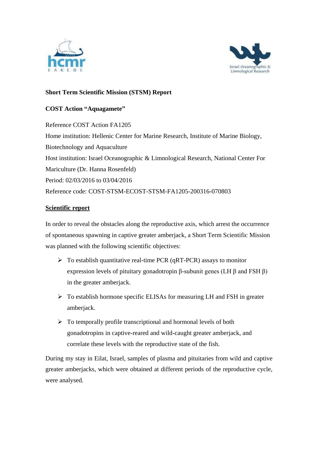



## **Short Term Scientific Mission (STSM) Report**

## **COST Action "Aquagamete"**

Reference COST Action FA1205 Home institution: Hellenic Center for Marine Research, Institute of Marine Biology, Biotechnology and Aquaculture Host institution: Israel Oceanographic & Limnological Research, National Center For Mariculture (Dr. Hanna Rosenfeld) Period: 02/03/2016 to 03/04/2016 Reference code: COST-STSM-ECOST-STSM-FA1205-200316-070803

## **Scientific report**

In order to reveal the obstacles along the reproductive axis, which arrest the occurrence of spontaneous spawning in captive greater amberjack, a Short Term Scientific Mission was planned with the following scientific objectives:

- $\triangleright$  To establish quantitative real-time PCR (qRT-PCR) assays to monitor expression levels of pituitary gonadotropin β-subunit genes (LH β and FSH β) in the greater amberjack.
- $\triangleright$  To establish hormone specific ELISAs for measuring LH and FSH in greater amberjack.
- $\triangleright$  To temporally profile transcriptional and hormonal levels of both gonadotropins in captive-reared and wild-caught greater amberjack, and correlate these levels with the reproductive state of the fish.

During my stay in Eilat, Israel, samples of plasma and pituitaries from wild and captive greater amberjacks, which were obtained at different periods of the reproductive cycle, were analysed.